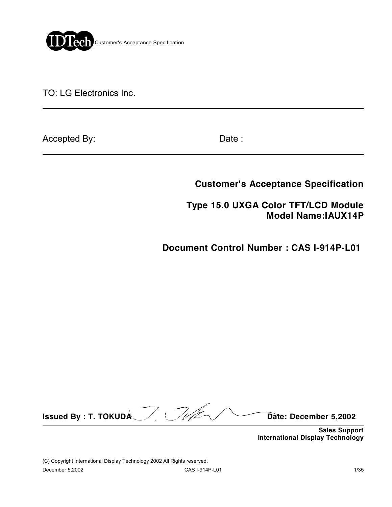

TO: LG Electronics Inc.

Accepted By: Date :

**Customer's Acceptance Specification**

 **Type 15.0 UXGA Color TFT/LCD Module Model Name:IAUX14P**

**Document Control Number : CAS I-914P-L01** 

**Issued By : T. TOKUDA** Date: December 5,2002

 **Sales Support International Display Technology**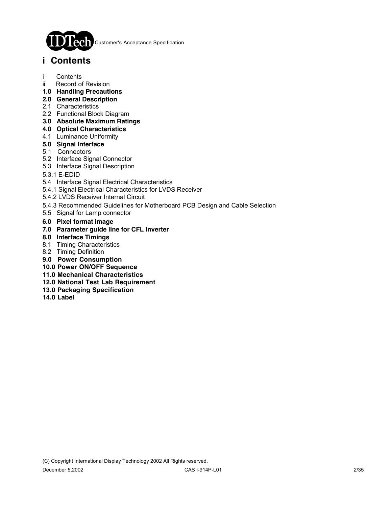

Customer's Acceptance Specification

# **i Contents**

- i Contents
- ii Record of Revision
- **1.0 Handling Precautions**
- **2.0 General Description**
- 2.1 Characteristics
- 2.2 Functional Block Diagram
- **3.0 Absolute Maximum Ratings**
- **4.0 Optical Characteristics**
- 4.1 Luminance Uniformity
- **5.0 Signal Interface**
- 5.1 Connectors
- 5.2 Interface Signal Connector
- 5.3 Interface Signal Description
- 5.3.1 E-EDID
- 5.4 Interface Signal Electrical Characteristics
- 5.4.1 Signal Electrical Characteristics for LVDS Receiver
- 5.4.2 LVDS Receiver Internal Circuit
- 5.4.3 Recommended Guidelines for Motherboard PCB Design and Cable Selection
- 5.5 Signal for Lamp connector
- **6.0 Pixel format image**
- **7.0 Parameter guide line for CFL Inverter**
- **8.0 Interface Timings**
- 8.1 Timing Characteristics
- 8.2 Timing Definition
- **9.0 Power Consumption**
- **10.0 Power ON/OFF Sequence**
- **11.0 Mechanical Characteristics**
- **12.0 National Test Lab Requirement**
- **13.0 Packaging Specification**
- **14.0 Label**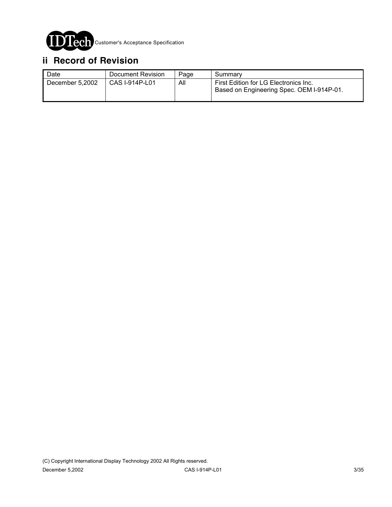

# **ii Record of Revision**

| Date            | Document Revision | Page | Summary                                                                            |
|-----------------|-------------------|------|------------------------------------------------------------------------------------|
| December 5,2002 | CAS I-914P-L01    | All  | First Edition for LG Electronics Inc.<br>Based on Engineering Spec. OEM I-914P-01. |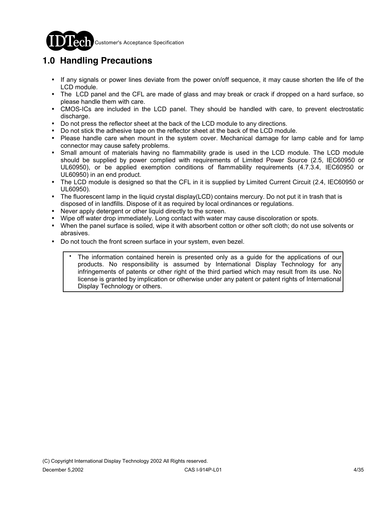

#### **CCO** Customer's Acceptance Specification

# **1.0 Handling Precautions**

- ! If any signals or power lines deviate from the power on/off sequence, it may cause shorten the life of the LCD module.
- ! The LCD panel and the CFL are made of glass and may break or crack if dropped on a hard surface, so please handle them with care.
- ! CMOS-ICs are included in the LCD panel. They should be handled with care, to prevent electrostatic discharge.
- ! Do not press the reflector sheet at the back of the LCD module to any directions.
- ! Do not stick the adhesive tape on the reflector sheet at the back of the LCD module.
- ! Please handle care when mount in the system cover. Mechanical damage for lamp cable and for lamp connector may cause safety problems.
- Small amount of materials having no flammability grade is used in the LCD module. The LCD module should be supplied by power complied with requirements of Limited Power Source (2.5, IEC60950 or UL60950), or be applied exemption conditions of flammability requirements (4.7.3.4, IEC60950 or UL60950) in an end product.
- ! The LCD module is designed so that the CFL in it is supplied by Limited Current Circuit (2.4, IEC60950 or UL60950).
- The fluorescent lamp in the liquid crystal display(LCD) contains mercury. Do not put it in trash that is disposed of in landfills. Dispose of it as required by local ordinances or regulations.
- ! Never apply detergent or other liquid directly to the screen.
- Wipe off water drop immediately. Long contact with water may cause discoloration or spots.
- When the panel surface is soiled, wipe it with absorbent cotton or other soft cloth; do not use solvents or abrasives.
- ! Do not touch the front screen surface in your system, even bezel.
	- The information contained herein is presented only as a guide for the applications of our products. No responsibility is assumed by International Display Technology for any infringements of patents or other right of the third partied which may result from its use. No license is granted by implication or otherwise under any patent or patent rights of International Display Technology or others. .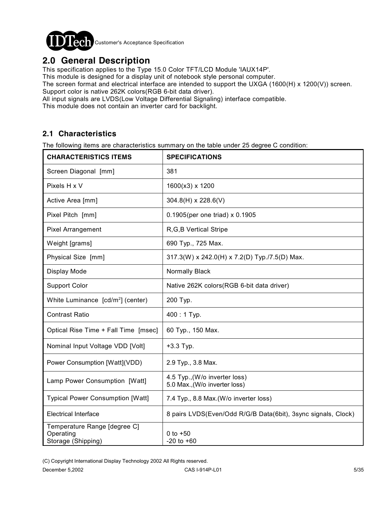

# **2.0 General Description**

This specification applies to the Type 15.0 Color TFT/LCD Module 'IAUX14P'.

This module is designed for a display unit of notebook style personal computer.

The screen format and electrical interface are intended to support the UXGA (1600(H) x 1200(V)) screen. Support color is native 262K colors(RGB 6-bit data driver).

All input signals are LVDS(Low Voltage Differential Signaling) interface compatible.

This module does not contain an inverter card for backlight.

### **2.1 Characteristics**

The following items are characteristics summary on the table under 25 degree C condition:

| <b>CHARACTERISTICS ITEMS</b>                                    | <b>SPECIFICATIONS</b>                                          |
|-----------------------------------------------------------------|----------------------------------------------------------------|
| Screen Diagonal [mm]                                            | 381                                                            |
| Pixels H x V                                                    | 1600(x3) x 1200                                                |
| Active Area [mm]                                                | 304.8(H) x 228.6(V)                                            |
| Pixel Pitch [mm]                                                | 0.1905(per one triad) x 0.1905                                 |
| <b>Pixel Arrangement</b>                                        | R, G, B Vertical Stripe                                        |
| Weight [grams]                                                  | 690 Typ., 725 Max.                                             |
| Physical Size [mm]                                              | 317.3(W) x 242.0(H) x 7.2(D) Typ./7.5(D) Max.                  |
| Display Mode                                                    | Normally Black                                                 |
| <b>Support Color</b>                                            | Native 262K colors (RGB 6-bit data driver)                     |
| White Luminance [cd/m <sup>2</sup> ] (center)                   | 200 Тур.                                                       |
| <b>Contrast Ratio</b>                                           | $400:1$ Typ.                                                   |
| Optical Rise Time + Fall Time [msec]                            | 60 Typ., 150 Max.                                              |
| Nominal Input Voltage VDD [Volt]                                | +3.3 Typ.                                                      |
| Power Consumption [Watt](VDD)                                   | 2.9 Typ., 3.8 Max.                                             |
| Lamp Power Consumption [Watt]                                   | 4.5 Typ., (W/o inverter loss)<br>5.0 Max., (W/o inverter loss) |
| <b>Typical Power Consumption [Watt]</b>                         | 7.4 Typ., 8.8 Max.(W/o inverter loss)                          |
| <b>Electrical Interface</b>                                     | 8 pairs LVDS(Even/Odd R/G/B Data(6bit), 3sync signals, Clock)  |
| Temperature Range [degree C]<br>Operating<br>Storage (Shipping) | 0 to $+50$<br>$-20$ to $+60$                                   |

(C) Copyright International Display Technology 2002 All Rights reserved.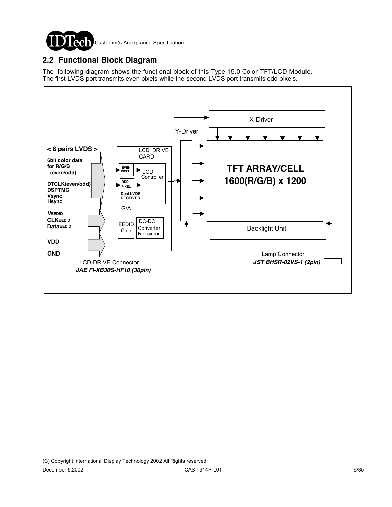

## **2.2 Functional Block Diagram**

The following diagram shows the functional block of this Type 15.0 Color TFT/LCD Module. The first LVDS port transmits even pixels while the second LVDS port transmits odd pixels.

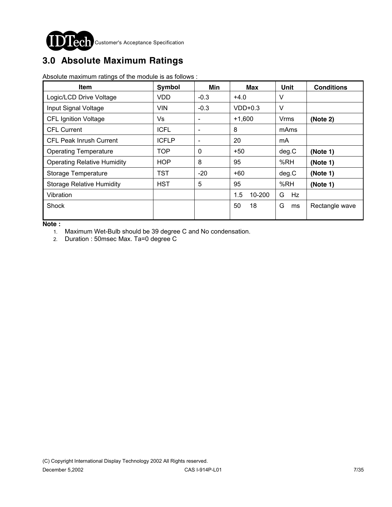

# **3.0 Absolute Maximum Ratings**

Absolute maximum ratings of the module is as follows :

| <b>Item</b>                        | Symbol       | Min                          | <b>Max</b>    | Unit        | <b>Conditions</b> |
|------------------------------------|--------------|------------------------------|---------------|-------------|-------------------|
| Logic/LCD Drive Voltage            | <b>VDD</b>   | $-0.3$                       | $+4.0$        | V           |                   |
| Input Signal Voltage               | <b>VIN</b>   | $-0.3$                       | $VDD+0.3$     | $\vee$      |                   |
| <b>CFL Ignition Voltage</b>        | Vs           | $\qquad \qquad \blacksquare$ | $+1.600$      | <b>Vrms</b> | (Note 2)          |
| <b>CFL Current</b>                 | <b>ICFL</b>  | $\qquad \qquad \blacksquare$ | 8             | mAms        |                   |
| CFL Peak Inrush Current            | <b>ICFLP</b> | ٠                            | 20            | mA          |                   |
| <b>Operating Temperature</b>       | <b>TOP</b>   | $\Omega$                     | $+50$         | deg.C       | (Note 1)          |
| <b>Operating Relative Humidity</b> | <b>HOP</b>   | 8                            | 95            | %RH         | (Note 1)          |
| Storage Temperature                | TST          | $-20$                        | $+60$         | deg.C       | (Note 1)          |
| <b>Storage Relative Humidity</b>   | <b>HST</b>   | 5                            | 95            | %RH         | (Note 1)          |
| Vibration                          |              |                              | 1.5<br>10-200 | G<br>Hz     |                   |
| Shock                              |              |                              | 50<br>18      | G<br>ms     | Rectangle wave    |

**Note :** 

1. Maximum Wet-Bulb should be 39 degree C and No condensation.

2. Duration : 50msec Max. Ta=0 degree C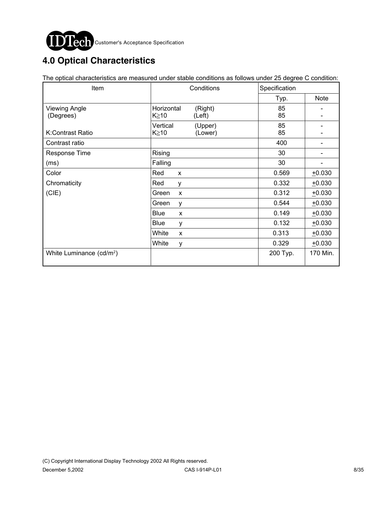

# **4.0 Optical Characteristics**

The optical characteristics are measured under stable conditions as follows under 25 degree C condition:

| Item                                 | Conditions            | Specification |             |
|--------------------------------------|-----------------------|---------------|-------------|
|                                      |                       | Typ.          | <b>Note</b> |
| <b>Viewing Angle</b>                 | Horizontal<br>(Right) | 85            |             |
| (Degrees)                            | K≧10<br>(Left)        | 85            |             |
|                                      | Vertical<br>(Upper)   | 85            |             |
| K:Contrast Ratio                     | K≧10<br>(Lower)       | 85            |             |
| Contrast ratio                       |                       | 400           |             |
| <b>Response Time</b>                 | Rising                | 30            | -           |
| (ms)                                 | Falling               | 30            | -           |
| Color                                | Red<br>X              | 0.569         | $+0.030$    |
| Chromaticity                         | Red<br>y              | 0.332         | $+0.030$    |
| (CIE)                                | Green<br>X            | 0.312         | $+0.030$    |
|                                      | Green<br>y            | 0.544         | $+0.030$    |
|                                      | <b>Blue</b><br>X      | 0.149         | $+0.030$    |
|                                      | <b>Blue</b><br>у      | 0.132         | $+0.030$    |
|                                      | White<br>$\mathsf{x}$ | 0.313         | $+0.030$    |
|                                      | White<br>y            | 0.329         | $+0.030$    |
| White Luminance (cd/m <sup>2</sup> ) |                       | 200 Typ.      | 170 Min.    |
|                                      |                       |               |             |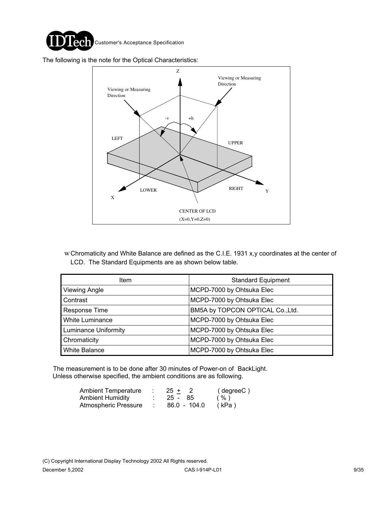

The following is the note for the Optical Characteristics:



wChromaticity and White Balance are defined as the C.I.E. 1931 x,y coordinates at the center of LCD. The Standard Equipments are as shown below table.

| <b>Item</b>                 | <b>Standard Equipment</b>        |
|-----------------------------|----------------------------------|
| Viewing Angle               | MCPD-7000 by Ohtsuka Elec        |
| Contrast                    | MCPD-7000 by Ohtsuka Elec        |
| Response Time               | BM5A by TOPCON OPTICAL Co., Ltd. |
| <b>White Luminance</b>      | MCPD-7000 by Ohtsuka Elec        |
| <b>Luminance Uniformity</b> | MCPD-7000 by Ohtsuka Elec        |
| Chromaticity                | MCPD-7000 by Ohtsuka Elec        |
| <b>White Balance</b>        | MCPD-7000 by Ohtsuka Elec        |

 The measurement is to be done after 30 minutes of Power-on of BackLight. Unless otherwise specified, the ambient conditions are as following.

| <b>Ambient Temperature</b> | $25 +$       | ( degreeC ) |
|----------------------------|--------------|-------------|
| Ambient Humidity           | $25 - 85$    | $($ %)      |
| Atmospheric Pressure       | 86.0 - 104.0 | (kPa)       |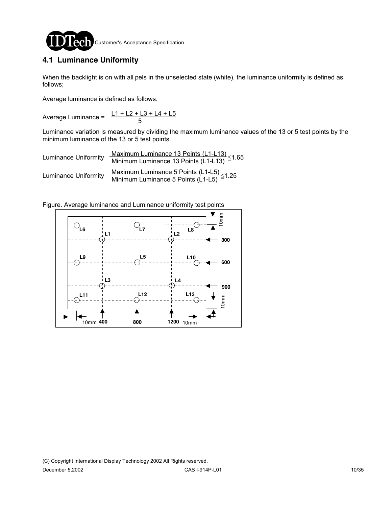

## **4.1 Luminance Uniformity**

When the backlight is on with all pels in the unselected state (white), the luminance uniformity is defined as follows;

Average luminance is defined as follows.

Average Luminance = 
$$
\frac{\text{L1} + \text{L2} + \text{L3} + \text{L4} + \text{L5}}{5}
$$

Luminance variation is measured by dividing the maximum luminance values of the 13 or 5 test points by the minimum luminance of the 13 or 5 test points.

| <b>Luminance Uniformity</b> | Maximum Luminance 13 Points $(L1-L13) \leq 1.65$<br>Minimum Luminance 13 Points (L1-L13)         |
|-----------------------------|--------------------------------------------------------------------------------------------------|
| <b>Luminance Uniformity</b> | Maximum Luminance 5 Points $(L1-L5) \leq 1.25$<br>Minimum Luminance 5 Points $(L1-L5) \leq 1.25$ |

Figure. Average luminance and Luminance uniformity test points

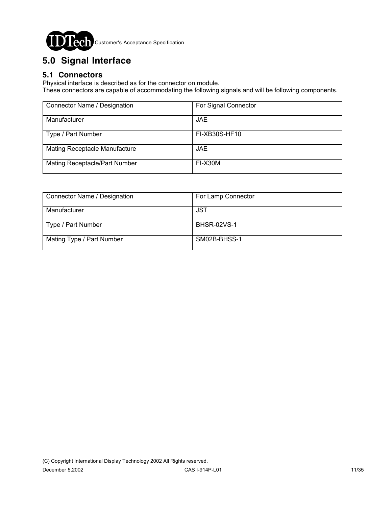

# **5.0 Signal Interface**

## **5.1 Connectors**

Physical interface is described as for the connector on module.

These connectors are capable of accommodating the following signals and will be following components.

| Connector Name / Designation  | For Signal Connector |
|-------------------------------|----------------------|
| Manufacturer                  | JAE.                 |
| Type / Part Number            | FI-XB30S-HF10        |
| Mating Receptacle Manufacture | <b>JAE</b>           |
| Mating Receptacle/Part Number | FI-X30M              |

| Connector Name / Designation | For Lamp Connector |
|------------------------------|--------------------|
| Manufacturer                 | <b>JST</b>         |
| Type / Part Number           | <b>BHSR-02VS-1</b> |
| Mating Type / Part Number    | SM02B-BHSS-1       |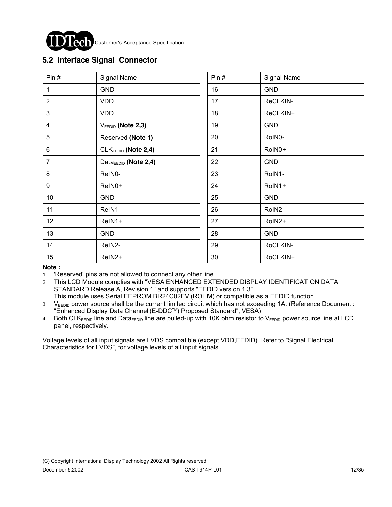

Customer's Acceptance Specification

### **5.2 Interface Signal Connector**

| Pin#           | Signal Name                      | Pin# | Signal Name |
|----------------|----------------------------------|------|-------------|
| 1              | <b>GND</b>                       | 16   | <b>GND</b>  |
| $\overline{2}$ | <b>VDD</b>                       | 17   | ReCLKIN-    |
| 3              | <b>VDD</b>                       | 18   | ReCLKIN+    |
| 4              | $V_{EEDID}$ (Note 2,3)           | 19   | <b>GND</b>  |
| 5              | Reserved (Note 1)                | 20   | RoIN0-      |
| 6              | CLK <sub>EEDID</sub> (Note 2,4)  | 21   | RoIN0+      |
| $\overline{7}$ | Data <sub>EEDID</sub> (Note 2,4) | 22   | <b>GND</b>  |
| 8              | ReIN0-                           | 23   | RoIN1-      |
| 9              | ReIN0+                           | 24   | RoIN1+      |
| 10             | <b>GND</b>                       | 25   | <b>GND</b>  |
| 11             | ReIN1-                           | 26   | RoIN2-      |
| 12             | ReIN1+                           | 27   | RoIN2+      |
| 13             | <b>GND</b>                       | 28   | <b>GND</b>  |
| 14             | ReIN2-                           | 29   | RoCLKIN-    |
| 15             | ReIN2+                           | 30   | RoCLKIN+    |

**Note :** 

1. 'Reserved' pins are not allowed to connect any other line.

2. This LCD Module complies with "VESA ENHANCED EXTENDED DISPLAY IDENTIFICATION DATA STANDARD Release A, Revision 1" and supports "EEDID version 1.3". This module uses Serial EEPROM BR24C02FV (ROHM) or compatible as a EEDID function.

3. V<sub>EEDID</sub> power source shall be the current limited circuit which has not exceeding 1A. (Reference Document : "Enhanced Display Data Channel (E-DDCTM) Proposed Standard", VESA)

4. Both CLKEEDID line and DataEEDID line are pulled-up with 10K ohm resistor to VEEDID power source line at LCD panel, respectively.

Voltage levels of all input signals are LVDS compatible (except VDD,EEDID). Refer to "Signal Electrical Characteristics for LVDS", for voltage levels of all input signals.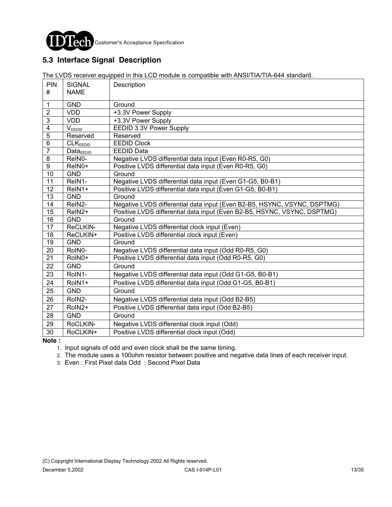

## **5.3 Interface Signal Description**

The LVDS receiver equipped in this LCD module is compatible with ANSI/TIA/TIA-644 standard.

| PIN<br>#         | <b>SIGNAL</b><br><b>NAME</b> | Description                                                              |
|------------------|------------------------------|--------------------------------------------------------------------------|
|                  |                              |                                                                          |
| 1                | <b>GND</b>                   | Ground                                                                   |
| $\overline{2}$   | <b>VDD</b>                   | +3.3V Power Supply                                                       |
| $\overline{3}$   | <b>VDD</b>                   | +3.3V Power Supply                                                       |
| $\overline{4}$   | V <sub>EEDID</sub>           | EEDID 3.3V Power Supply                                                  |
| $\overline{5}$   | Reserved                     | Reserved                                                                 |
| $\overline{6}$   | CLK <sub>EDID</sub>          | <b>EEDID Clock</b>                                                       |
| $\overline{7}$   | $Data_{EEDID}$               | <b>EEDID Data</b>                                                        |
| $\, 8$           | ReIN0-                       | Negative LVDS differential data input (Even R0-R5, G0)                   |
| $\boldsymbol{9}$ | ReIN0+                       | Positive LVDS differential data input (Even R0-R5, G0)                   |
| 10               | <b>GND</b>                   | Ground                                                                   |
| 11               | ReIN1-                       | Negative LVDS differential data input (Even G1-G5, B0-B1)                |
| $\overline{12}$  | ReIN1+                       | Positive LVDS differential data input (Even G1-G5, B0-B1)                |
| $\overline{13}$  | <b>GND</b>                   | Ground                                                                   |
| 14               | ReIN2-                       | Negative LVDS differential data input (Even B2-B5, HSYNC, VSYNC, DSPTMG) |
| $\overline{15}$  | ReIN2+                       | Positive LVDS differential data input (Even B2-B5, HSYNC, VSYNC, DSPTMG) |
| 16               | <b>GND</b>                   | Ground                                                                   |
| 17               | ReCLKIN-                     | Negative LVDS differential clock input (Even)                            |
| 18               | ReCLKIN+                     | Positive LVDS differential clock input (Even)                            |
| 19               | <b>GND</b>                   | Ground                                                                   |
| 20               | RoIN0-                       | Negative LVDS differential data input (Odd R0-R5, G0)                    |
| 21               | RoIN0+                       | Positive LVDS differential data input (Odd R0-R5, G0)                    |
| 22               | <b>GND</b>                   | Ground                                                                   |
| 23               | RoIN1-                       | Negative LVDS differential data input (Odd G1-G5, B0-B1)                 |
| 24               | RoIN1+                       | Positive LVDS differential data input (Odd G1-G5, B0-B1)                 |
| 25               | <b>GND</b>                   | Ground                                                                   |
| 26               | RoIN2-                       | Negative LVDS differential data input (Odd B2-B5)                        |
| 27               | RoIN2+                       | Positive LVDS differential data input (Odd B2-B5)                        |
| 28               | <b>GND</b>                   | Ground                                                                   |
| 29               | RoCLKIN-                     | Negative LVDS differential clock input (Odd)                             |
| 30               | RoCLKIN+                     | Positive LVDS differential clock input (Odd)                             |

**Note :**

1. Input signals of odd and even clock shall be the same timing.

2. The module uses a 100ohm resistor between positive and negative data lines of each receiver input.

3. Even : First Pixel data Odd : Second Pixel Data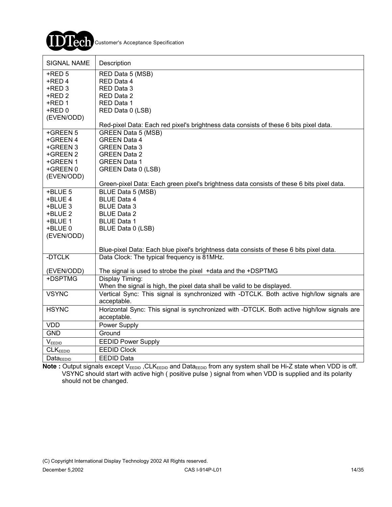

| <b>SIGNAL NAME</b>    | Description                                                                                |
|-----------------------|--------------------------------------------------------------------------------------------|
| $+$ RED 5             | RED Data 5 (MSB)                                                                           |
| +RED 4                | RED Data 4                                                                                 |
| +RED 3                | RED Data 3                                                                                 |
| $+$ RED 2             | RED Data 2                                                                                 |
| $+$ RED 1             | RED Data 1                                                                                 |
| $+$ RED $0$           | RED Data 0 (LSB)                                                                           |
| (EVEN/ODD)            |                                                                                            |
|                       | Red-pixel Data: Each red pixel's brightness data consists of these 6 bits pixel data.      |
| +GREEN 5<br>+GREEN 4  | <b>GREEN Data 5 (MSB)</b><br><b>GREEN Data 4</b>                                           |
| +GREEN 3              | <b>GREEN Data 3</b>                                                                        |
| +GREEN 2              | <b>GREEN Data 2</b>                                                                        |
| +GREEN 1              | <b>GREEN Data 1</b>                                                                        |
| +GREEN 0              | GREEN Data 0 (LSB)                                                                         |
| (EVEN/ODD)            |                                                                                            |
|                       | Green-pixel Data: Each green pixel's brightness data consists of these 6 bits pixel data.  |
| +BLUE 5               | BLUE Data 5 (MSB)                                                                          |
| +BLUE 4               | <b>BLUE Data 4</b>                                                                         |
| +BLUE 3               | <b>BLUE Data 3</b>                                                                         |
| +BLUE 2               | <b>BLUE Data 2</b>                                                                         |
| +BLUE 1               | <b>BLUE Data 1</b>                                                                         |
| +BLUE 0               | BLUE Data 0 (LSB)                                                                          |
| (EVEN/ODD)            |                                                                                            |
|                       | Blue-pixel Data: Each blue pixel's brightness data consists of these 6 bits pixel data.    |
| -DTCLK                | Data Clock: The typical frequency is 81MHz.                                                |
| (EVEN/ODD)            | The signal is used to strobe the pixel +data and the +DSPTMG                               |
| +DSPTMG               | Display Timing:                                                                            |
|                       | When the signal is high, the pixel data shall be valid to be displayed.                    |
| <b>VSYNC</b>          | Vertical Sync: This signal is synchronized with -DTCLK. Both active high/low signals are   |
|                       | acceptable.                                                                                |
| <b>HSYNC</b>          | Horizontal Sync: This signal is synchronized with -DTCLK. Both active high/low signals are |
|                       | acceptable.                                                                                |
| <b>VDD</b>            | Power Supply                                                                               |
| <b>GND</b>            | Ground                                                                                     |
| VEEDID                | <b>EEDID Power Supply</b>                                                                  |
| <b>CLKEEDID</b>       | <b>EEDID Clock</b>                                                                         |
| Data <sub>EEDID</sub> | <b>EEDID Data</b>                                                                          |

Note : Output signals except V<sub>EEDID</sub>, CLK<sub>EEDID</sub> and Data<sub>EEDID</sub> from any system shall be Hi-Z state when VDD is off. VSYNC should start with active high ( positive pulse ) signal from when VDD is supplied and its polarity should not be changed.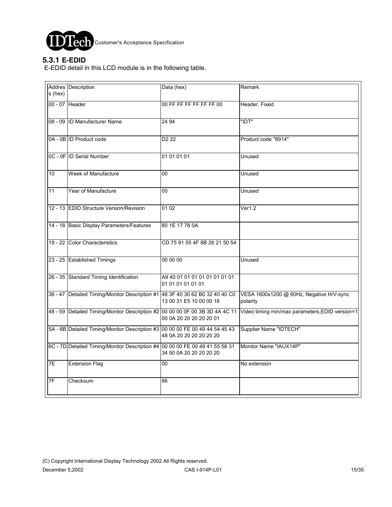

**Tech** Customer's Acceptance Specification

### **5.3.1 E-EDID**

E-EDID detail in this LCD module is in the following table.

|                | Addres Description                                                           | Data (hex)                                         | Remark                                                                                                                       |
|----------------|------------------------------------------------------------------------------|----------------------------------------------------|------------------------------------------------------------------------------------------------------------------------------|
| s (hex)        |                                                                              |                                                    |                                                                                                                              |
|                |                                                                              |                                                    |                                                                                                                              |
| 00 - 07 Header |                                                                              | 00 FF FF FF FF FF FF 00                            | Header, Fixed                                                                                                                |
|                |                                                                              |                                                    |                                                                                                                              |
|                | 08 - 09 ID Manufacturer Name                                                 | 24 94                                              | "IDT"                                                                                                                        |
|                |                                                                              |                                                    |                                                                                                                              |
|                |                                                                              |                                                    |                                                                                                                              |
|                | 0A - 0B ID Product code                                                      | D <sub>2</sub> 22                                  | Product code "8914"                                                                                                          |
|                |                                                                              |                                                    |                                                                                                                              |
|                | 0C - 0F ID Serial Number                                                     | 01 01 01 01                                        | Unused                                                                                                                       |
|                |                                                                              |                                                    |                                                                                                                              |
|                |                                                                              |                                                    |                                                                                                                              |
| 10             | Week of Manufacture                                                          | 00                                                 | Unused                                                                                                                       |
|                |                                                                              |                                                    |                                                                                                                              |
| 11             | Year of Manufacture                                                          | 00                                                 | Unused                                                                                                                       |
|                |                                                                              |                                                    |                                                                                                                              |
|                |                                                                              |                                                    |                                                                                                                              |
|                | 12 - 13 EDID Structure Version/Revision                                      | 01 02                                              | Ver1.2                                                                                                                       |
|                |                                                                              |                                                    |                                                                                                                              |
|                | 14 - 18 Basic Display Parameters/Features                                    | 80 1E 17 78 0A                                     |                                                                                                                              |
|                |                                                                              |                                                    |                                                                                                                              |
|                |                                                                              |                                                    |                                                                                                                              |
|                | 19 - 22 Color Characteristics                                                | CD 75 91 55 4F 8B 26 21 50 54                      |                                                                                                                              |
|                |                                                                              |                                                    |                                                                                                                              |
|                | 23 - 25 Established Timings                                                  | 00 00 00                                           | Unused                                                                                                                       |
|                |                                                                              |                                                    |                                                                                                                              |
|                |                                                                              |                                                    |                                                                                                                              |
|                | 26 - 35 Standard Timing Identification                                       | A9 40 01 01 01 01 01 01 01 01<br>01 01 01 01 01 01 |                                                                                                                              |
|                |                                                                              |                                                    |                                                                                                                              |
|                | 36 - 47 Detailed Timing/Monitor Description #1 48 3F 40 30 62 B0 32 40 40 C0 |                                                    | VESA 1600x1200 @ 60Hz, Negative H/V-sync                                                                                     |
|                |                                                                              | 13 00 31 E5 10 00 00 18                            | polarity                                                                                                                     |
|                |                                                                              |                                                    | 48 - 59 Detailed Timing/Monitor Description #2 00 00 00 0F 00 3B 3D 4A 4C 11 Video timing min/max parameters, EDID version=1 |
|                |                                                                              | 00 0A 20 20 20 20 20 01                            |                                                                                                                              |
|                |                                                                              |                                                    |                                                                                                                              |
|                | 5A - 6B Detailed Timing/Monitor Description #3 00 00 00 FE 00 49 44 54 45 43 |                                                    | Supplier Name "IDTECH"                                                                                                       |
|                |                                                                              | 48 0A 20 20 20 20 20 20                            |                                                                                                                              |
|                | 6C - 7D Detailed Timing/Monitor Description #4 00 00 00 FE 00 49 41 55 58 31 |                                                    | Monitor Name "IAUX14P"                                                                                                       |
|                |                                                                              | 34 50 0A 20 20 20 20 20                            |                                                                                                                              |
|                |                                                                              |                                                    |                                                                                                                              |
| 7E             | <b>Extension Flag</b>                                                        | 00                                                 | No extension                                                                                                                 |
|                |                                                                              |                                                    |                                                                                                                              |
| 7F             | Checksum                                                                     | 86                                                 |                                                                                                                              |
|                |                                                                              |                                                    |                                                                                                                              |
|                |                                                                              |                                                    |                                                                                                                              |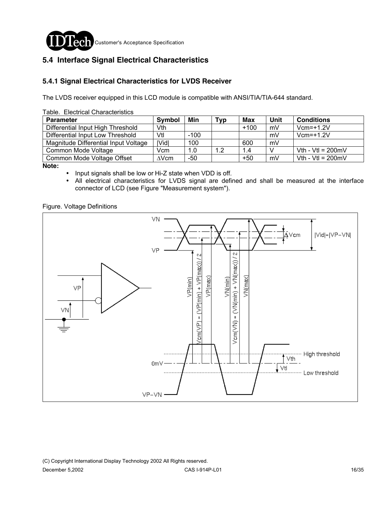

### **5.4 Interface Signal Electrical Characteristics**

### **5.4.1 Signal Electrical Characteristics for LVDS Receiver**

The LVDS receiver equipped in this LCD module is compatible with ANSI/TIA/TIA-644 standard.

| Table. Electrical Characteristics    |               |        |     |        |      |                             |
|--------------------------------------|---------------|--------|-----|--------|------|-----------------------------|
| <b>Parameter</b>                     | Symbol        | Min    | Тур | Max    | Unit | <b>Conditions</b>           |
| Differential Input High Threshold    | Vth           |        |     | $+100$ | mV   | $Vcm=+1.2V$                 |
| Differential Input Low Threshold     | Vtl           | $-100$ |     |        | mV   | $Vcm=+1.2V$                 |
| Magnitude Differential Input Voltage | <b>IVidl</b>  | 100    |     | 600    | mV   |                             |
| Common Mode Voltage                  | Vcm           | 1.0    | 1.2 | 1.4    |      | Vth - Vtl = $200 \text{mV}$ |
| Common Mode Voltage Offset           | $\Lambda$ Vcm | $-50$  |     | $+50$  | mV   | Vth - Vtl = $200 \text{mV}$ |

**Note:** 

! Input signals shall be low or Hi-Z state when VDD is off.

! All electrical characteristics for LVDS signal are defined and shall be measured at the interface connector of LCD (see Figure "Measurement system").

Figure. Voltage Definitions

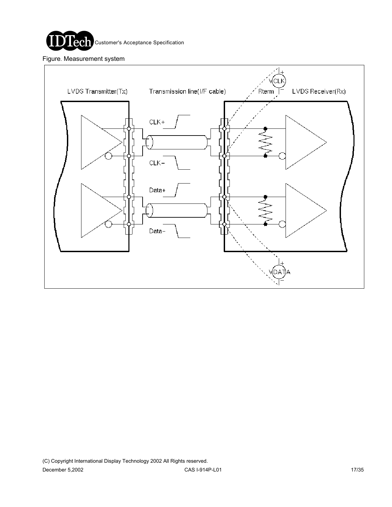

Figure. Measurement system

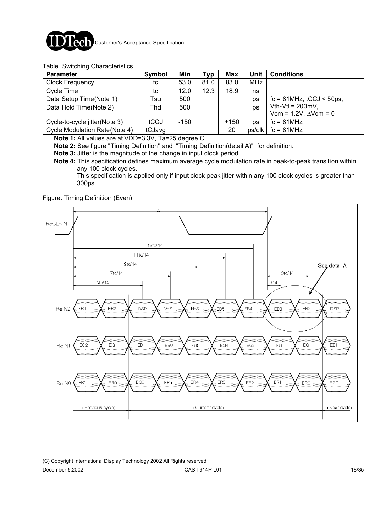

#### Table. Switching Characteristics

| <b>Parameter</b>              | Symbol | Min    | Typ  | Max    | Unit       | <b>Conditions</b>                   |
|-------------------------------|--------|--------|------|--------|------------|-------------------------------------|
| <b>Clock Frequency</b>        | fc     | 53.0   | 81.0 | 83.0   | <b>MHz</b> |                                     |
| Cycle Time                    | tc     | 12.0   | 12.3 | 18.9   | ns         |                                     |
| Data Setup Time(Note 1)       | Tsu    | 500    |      |        | ps         | $fc = 81 MHz$ , $tCCJ < 50 ps$ ,    |
| Data Hold Time(Note 2)        | Thd    | 500    |      |        | ps         | Vth-Vtl = $200mV$ ,                 |
|                               |        |        |      |        |            | Vcm = $1.2V$ , $\triangle V$ cm = 0 |
| Cycle-to-cycle jitter(Note 3) | tCCJ   | $-150$ |      | $+150$ | <b>DS</b>  | $fc = 81 MHz$                       |
| Cycle Modulation Rate(Note 4) | tCJavg |        |      | 20     | ps/clk     | $fc = 81 MHz$                       |

**Note 1:** All values are at VDD=3.3V, Ta=25 degree C.

**Note 2:** See figure "Timing Definition" and "Timing Definition(detail A)" for definition.

**Note 3:** Jitter is the magnitude of the change in input clock period.

**Note 4:** This specification defines maximum average cycle modulation rate in peak-to-peak transition within any 100 clock cycles.

 This specification is applied only if input clock peak jitter within any 100 clock cycles is greater than 300ps.

#### Figure. Timing Definition (Even)

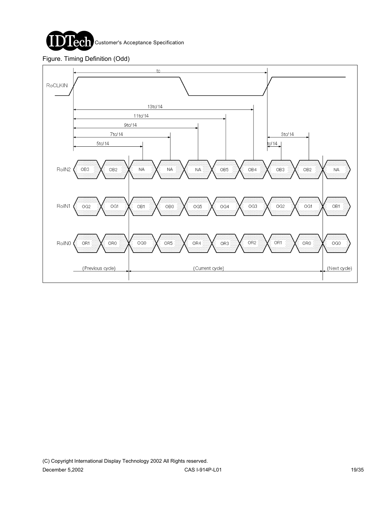

Figure. Timing Definition (Odd)

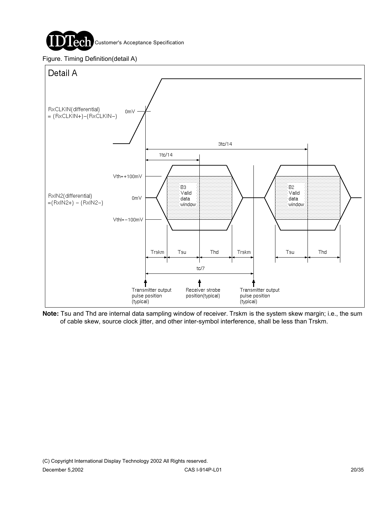

Figure. Timing Definition(detail A)



**Note:** Tsu and Thd are internal data sampling window of receiver. Trskm is the system skew margin; i.e., the sum of cable skew, source clock jitter, and other inter-symbol interference, shall be less than Trskm.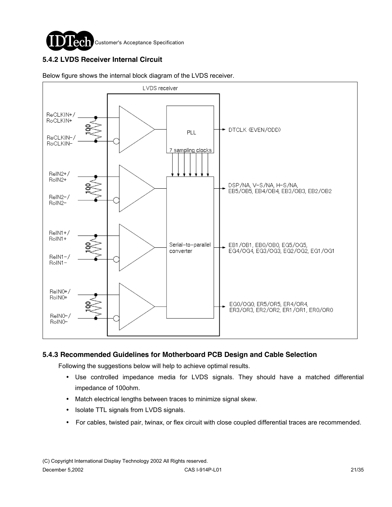

### **5.4.2 LVDS Receiver Internal Circuit**



Below figure shows the internal block diagram of the LVDS receiver.

#### **5.4.3 Recommended Guidelines for Motherboard PCB Design and Cable Selection**

Following the suggestions below will help to achieve optimal results.

- ! Use controlled impedance media for LVDS signals. They should have a matched differential impedance of 100ohm.
- ! Match electrical lengths between traces to minimize signal skew.
- Isolate TTL signals from LVDS signals.
- ! For cables, twisted pair, twinax, or flex circuit with close coupled differential traces are recommended.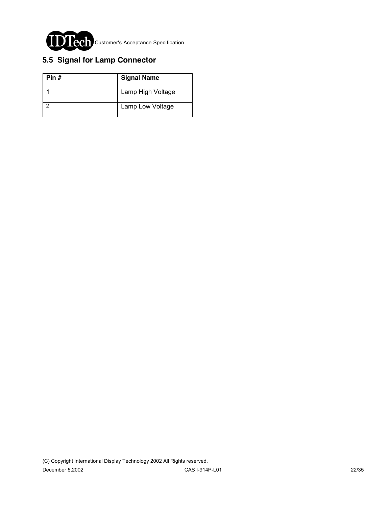

## **5.5 Signal for Lamp Connector**

| Pin # | <b>Signal Name</b> |
|-------|--------------------|
|       | Lamp High Voltage  |
|       | Lamp Low Voltage   |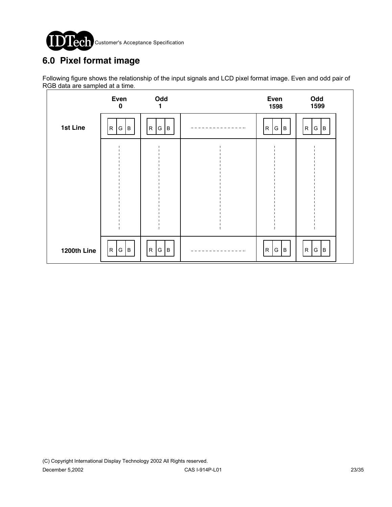

# **6.0 Pixel format image**

Following figure shows the relationship of the input signals and LCD pixel format image. Even and odd pair of RGB data are sampled at a time.

|             | Even<br>$\bf{0}$ | Odd<br>1                | Even<br>1598                 | Odd<br>1599                 |
|-------------|------------------|-------------------------|------------------------------|-----------------------------|
| 1st Line    | R<br> G  B       | $\mathsf{R}$<br>lв<br>G | $\mathsf{R}$<br>G.<br>$\,$ B | B<br>R<br>$\vert$ G $\vert$ |
|             |                  |                         |                              |                             |
|             |                  |                         |                              |                             |
|             |                  |                         |                              |                             |
|             |                  |                         |                              |                             |
| 1200th Line | R G B            | G   B<br>R              | G B<br>$\mathsf{R}$          | G   B<br>R                  |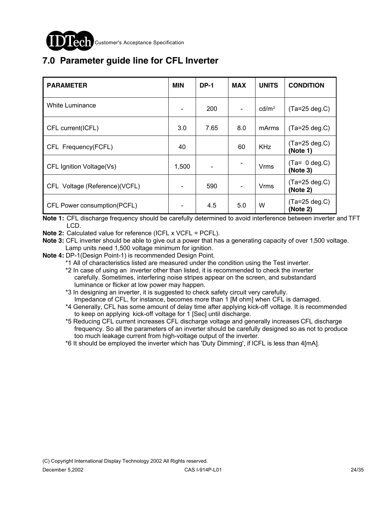

# **7.0 Parameter guide line for CFL Inverter**

| <b>PARAMETER</b>               | <b>MIN</b>                   | <b>DP-1</b> | <b>MAX</b>               | <b>UNITS</b>      | <b>CONDITION</b>             |
|--------------------------------|------------------------------|-------------|--------------------------|-------------------|------------------------------|
| White Luminance                | $\qquad \qquad \blacksquare$ | 200         | $\overline{\phantom{a}}$ | cd/m <sup>2</sup> | $(Ta=25 deg.C)$              |
| CFL current(ICFL)              | 3.0                          | 7.65        | 8.0                      | mArms             | $(Ta=25 deg.C)$              |
| CFL Frequency(FCFL)            | 40                           |             | 60                       | <b>KHz</b>        | $(Ta=25 \deg.C)$<br>(Note 1) |
| CFL Ignition Voltage(Vs)       | 1,500                        |             |                          | Vrms              | $(Ta= 0 deg.C)$<br>(Note 3)  |
| CFL Voltage (Reference) (VCFL) |                              | 590         | $\overline{\phantom{a}}$ | Vrms              | $(Ta=25 \deg.C)$<br>(Note 2) |
| CFL Power consumption(PCFL)    |                              | 4.5         | 5.0                      | W                 | $(Ta=25 \deg.C)$<br>(Note 2) |

**Note 1:** CFL discharge frequency should be carefully determined to avoid interference between inverter and TFT LCD.

**Note 2:** Calculated value for reference (ICFL x VCFL = PCFL).

**Note 3:** CFL inverter should be able to give out a power that has a generating capacity of over 1,500 voltage. Lamp units need 1,500 voltage minimum for ignition.

**Note 4:** DP-1(Design Point-1) is recommended Design Point.

\*1 All of characteristics listed are measured under the condition using the Test inverter.

 \*2 In case of using an inverter other than listed, it is recommended to check the inverter carefully. Sometimes, interfering noise stripes appear on the screen, and substandard luminance or flicker at low power may happen.

 \*3 In designing an inverter, it is suggested to check safety circuit very carefully. Impedance of CFL, for instance, becomes more than 1 [M ohm] when CFL is damaged.

 \*4 Generally, CFL has some amount of delay time after applying kick-off voltage. It is recommended to keep on applying kick-off voltage for 1 [Sec] until discharge.

 \*5 Reducing CFL current increases CFL discharge voltage and generally increases CFL discharge frequency. So all the parameters of an inverter should be carefully designed so as not to produce too much leakage current from high-voltage output of the inverter.

\*6 It should be employed the inverter which has 'Duty Dimming', if ICFL is less than 4[mA].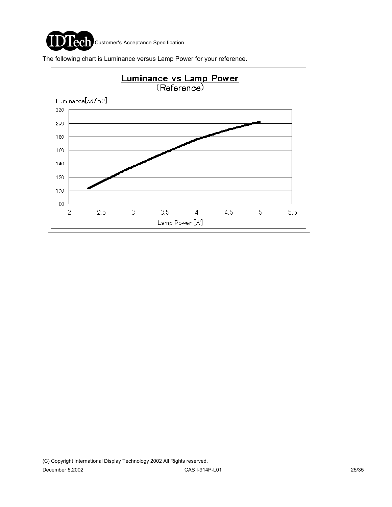

The following chart is Luminance versus Lamp Power for your reference.

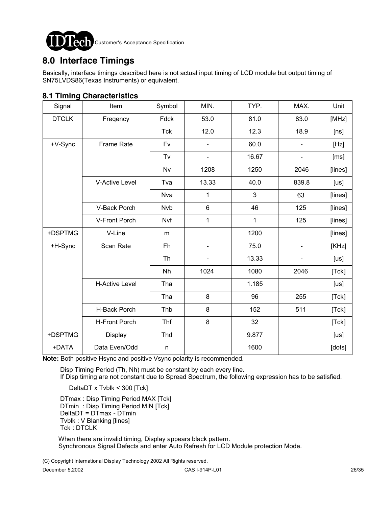

# **8.0 Interface Timings**

Basically, interface timings described here is not actual input timing of LCD module but output timing of SN75LVDS86(Texas Instruments) or equivalent.

### **8.1 Timing Characteristics**

| Signal       | Item                  | Symbol     | MIN.           | TYP.  | MAX.                     | Unit    |
|--------------|-----------------------|------------|----------------|-------|--------------------------|---------|
| <b>DTCLK</b> | Freqency              | Fdck       | 53.0           | 81.0  | 83.0                     | [MHz]   |
|              |                       | <b>Tck</b> | 12.0           | 12.3  | 18.9                     | [ns]    |
| +V-Sync      | <b>Frame Rate</b>     | <b>Fv</b>  |                | 60.0  |                          | [Hz]    |
|              |                       | Tv         |                | 16.67 | L,                       | [ms]    |
|              |                       | Nv         | 1208           | 1250  | 2046                     | [lines] |
|              | <b>V-Active Level</b> | Tva        | 13.33          | 40.0  | 839.8                    | [us]    |
|              |                       | Nva        | 1              | 3     | 63                       | [lines] |
|              | V-Back Porch          | <b>Nvb</b> | $6\phantom{1}$ | 46    | 125                      | [lines] |
|              | V-Front Porch         | Nvf        | 1              | 1     | 125                      | [lines] |
| +DSPTMG      | V-Line                | m          |                | 1200  |                          | [lines] |
| +H-Sync      | Scan Rate             | Fh         |                | 75.0  | $\overline{\phantom{0}}$ | [KHz]   |
|              |                       | Th         |                | 13.33 | $\overline{a}$           | [us]    |
|              |                       | Nh         | 1024           | 1080  | 2046                     | [Tck]   |
|              | <b>H-Active Level</b> | Tha        |                | 1.185 |                          | [us]    |
|              |                       | Tha        | $\bf 8$        | 96    | 255                      | [Tck]   |
|              | H-Back Porch          | Thb        | 8              | 152   | 511                      | [Tck]   |
|              | H-Front Porch         | Thf        | $\bf 8$        | 32    |                          | [Tck]   |
| +DSPTMG      | Display               | Thd        |                | 9.877 |                          | [us]    |
| +DATA        | Data Even/Odd         | n          |                | 1600  |                          | [dots]  |

**Note:** Both positive Hsync and positive Vsync polarity is recommended.

Disp Timing Period (Th, Nh) must be constant by each every line.

If Disp timing are not constant due to Spread Spectrum, the following expression has to be satisfied.

DeltaDT x Tvblk < 300 [Tck]

DTmax: Disp Timing Period MAX [Tck] DTmin : Disp Timing Period MIN [Tck] DeltaDT = DTmax - DTmin Tvblk : V Blanking [lines] Tck : DTCLK

 When there are invalid timing, Display appears black pattern. Synchronous Signal Defects and enter Auto Refresh for LCD Module protection Mode.

(C) Copyright International Display Technology 2002 All Rights reserved.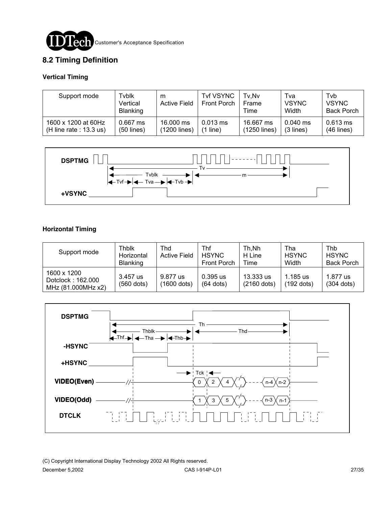

### **8.2 Timing Definition**

#### **Vertical Timing**

| Support mode                                     | Tvblk<br>Vertical<br><b>Blanking</b> | m<br><b>Active Field</b>  | <b>Tvf VSYNC</b><br>Front Porch   | Tv.Nv<br><b>Frame</b><br>Time | Tva<br><b>VSYNC</b><br>Width | Tyb<br><b>VSYNC</b><br><b>Back Porch</b> |
|--------------------------------------------------|--------------------------------------|---------------------------|-----------------------------------|-------------------------------|------------------------------|------------------------------------------|
| 1600 x 1200 at 60Hz<br>(H line rate : $13.3$ us) | $0.667$ ms<br>(50 lines)             | 16,000 ms<br>(1200 lines) | $0.013 \text{ ms}$<br>line)<br>11 | 16.667 ms<br>(1250 lines)     | $0.040$ ms<br>$(3$ lines)    | $0.613 \text{ ms}$<br>$(46$ lines)       |



#### **Horizontal Timing**

| Support mode                                           | Thblk<br>Horizontal<br><b>Blanking</b> | Thd<br><b>Active Field</b> | Thf<br><b>HSYNC</b><br>Front Porch | Th.Nh<br>H Line<br>Time    | Tha<br><b>HSYNC</b><br>Width | Thb<br><b>HSYNC</b><br><b>Back Porch</b> |
|--------------------------------------------------------|----------------------------------------|----------------------------|------------------------------------|----------------------------|------------------------------|------------------------------------------|
| 1600 x 1200<br>Dotclock: 162.000<br>MHz (81.000MHz x2) | 3.457 us<br>$(560$ dots)               | 9.877 us<br>(1600 dots)    | $0.395$ us<br>$(64$ dots)          | 13.333 us<br>$(2160$ dots) | 1.185 us<br>(192 dots)       | 1.877 us<br>$(304$ dots)                 |



(C) Copyright International Display Technology 2002 All Rights reserved. December 5,2002 CAS I-914P-L01 27/35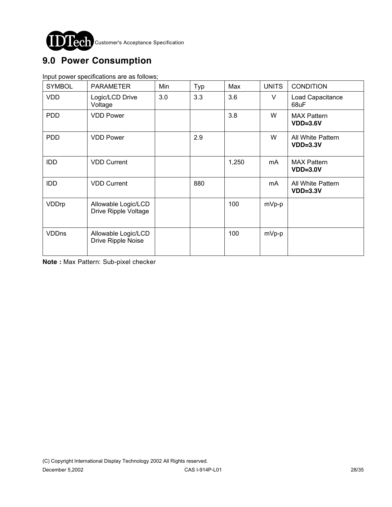

# **9.0 Power Consumption**

Input power specifications are as follows;

| <b>SYMBOL</b> | <b>PARAMETER</b>                            | Min | Typ | Max   | <b>UNITS</b> | <b>CONDITION</b>                 |
|---------------|---------------------------------------------|-----|-----|-------|--------------|----------------------------------|
| <b>VDD</b>    | Logic/LCD Drive<br>Voltage                  | 3.0 | 3.3 | 3.6   | $\vee$       | Load Capacitance<br>68uF         |
| <b>PDD</b>    | <b>VDD Power</b>                            |     |     | 3.8   | W            | <b>MAX Pattern</b><br>$VDD=3.6V$ |
| <b>PDD</b>    | <b>VDD Power</b>                            |     | 2.9 |       | W            | All White Pattern<br>$VDD=3.3V$  |
| <b>IDD</b>    | <b>VDD Current</b>                          |     |     | 1,250 | mA           | <b>MAX Pattern</b><br>$VDD=3.0V$ |
| <b>IDD</b>    | <b>VDD Current</b>                          |     | 880 |       | mA           | All White Pattern<br>$VDD=3.3V$  |
| VDDrp         | Allowable Logic/LCD<br>Drive Ripple Voltage |     |     | 100   | $mVp-p$      |                                  |
| <b>VDDns</b>  | Allowable Logic/LCD<br>Drive Ripple Noise   |     |     | 100   | $mVp-p$      |                                  |

**Note :** Max Pattern: Sub-pixel checker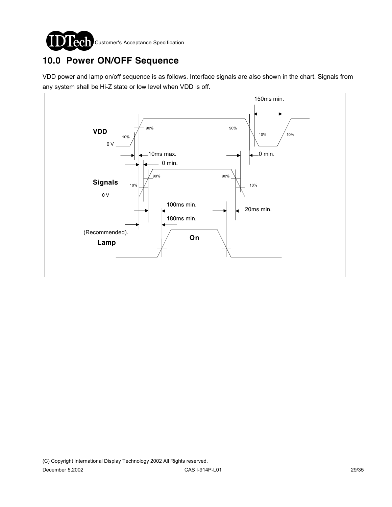

# **10.0 Power ON/OFF Sequence**

VDD power and lamp on/off sequence is as follows. Interface signals are also shown in the chart. Signals from any system shall be Hi-Z state or low level when VDD is off.

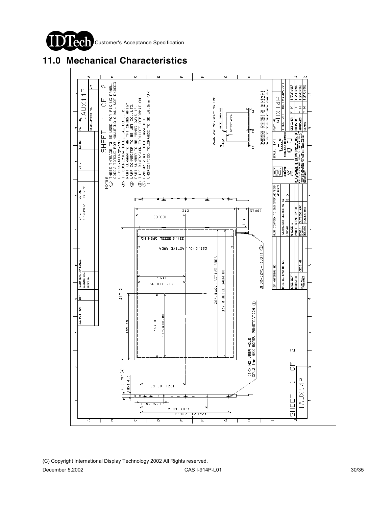



## **11.0 Mechanical Characteristics**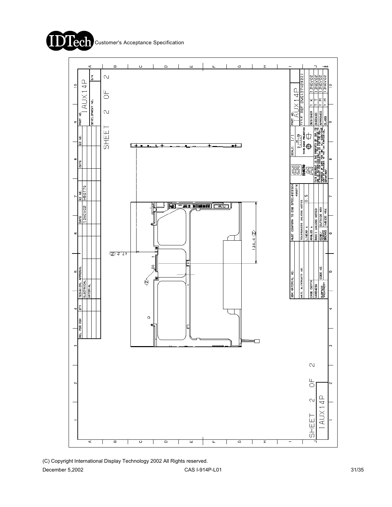



(C) Copyright International Display Technology 2002 All Rights reserved.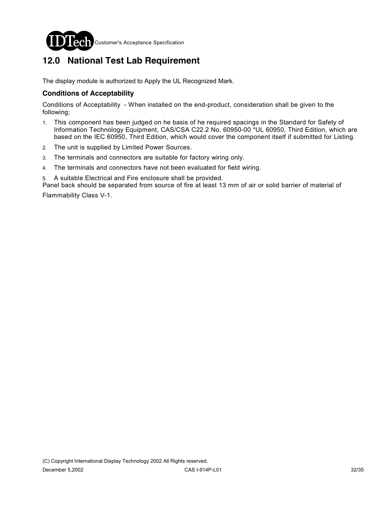

# **12.0 National Test Lab Requirement**

The display module is authorized to Apply the UL Recognized Mark.

#### **Conditions of Acceptability**

Conditions of Acceptability - When installed on the end-product, consideration shall be given to the following;

- 1. This component has been judged on he basis of he required spacings in the Standard for Safety of Information Technology Equipment, CAS/CSA C22.2 No. 60950-00 \*UL 60950, Third Edition, which are based on the IEC 60950, Third Edition, which would cover the component itself if submitted for Listing.
- 2. The unit is supplied by Limited Power Sources.
- 3. The terminals and connectors are suitable for factory wiring only.
- 4. The terminals and connectors have not been evaluated for field wiring.

5. A suitable Electrical and Fire enclosure shall be provided.

Panel back should be separated from source of fire at least 13 mm of air or solid barrier of material of Flammability Class V-1.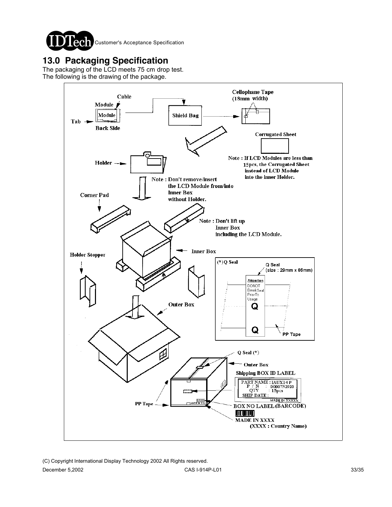

## **13.0 Packaging Specification**

The packaging of the LCD meets 75 cm drop test. The following is the drawing of the package.

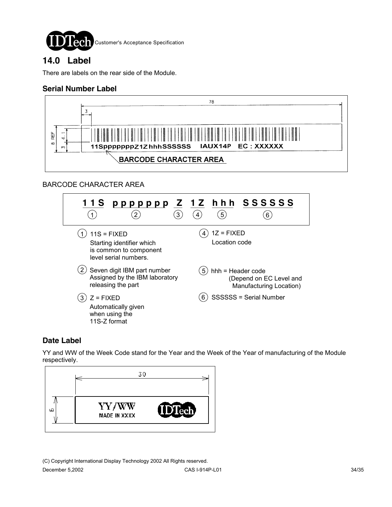

## **14.0 Label**

There are labels on the rear side of the Module.

## **Serial Number Label**



## BARCODE CHARACTER AREA



## **Date Label**

YY and WW of the Week Code stand for the Year and the Week of the Year of manufacturing of the Module respectively.